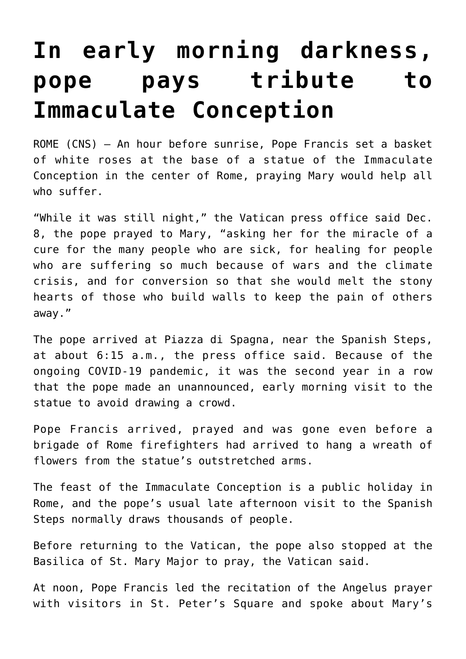## **[In early morning darkness,](https://www.osvnews.com/amp/2021/12/08/in-early-morning-darkness-pope-pays-tribute-to-immaculate-conception/) [pope pays tribute to](https://www.osvnews.com/amp/2021/12/08/in-early-morning-darkness-pope-pays-tribute-to-immaculate-conception/) [Immaculate Conception](https://www.osvnews.com/amp/2021/12/08/in-early-morning-darkness-pope-pays-tribute-to-immaculate-conception/)**

ROME (CNS) — An hour before sunrise, Pope Francis set a basket of white roses at the base of a statue of the Immaculate Conception in the center of Rome, praying Mary would help all who suffer.

"While it was still night," the Vatican press office said Dec. 8, the pope prayed to Mary, "asking her for the miracle of a cure for the many people who are sick, for healing for people who are suffering so much because of wars and the climate crisis, and for conversion so that she would melt the stony hearts of those who build walls to keep the pain of others away."

The pope arrived at Piazza di Spagna, near the Spanish Steps, at about 6:15 a.m., the press office said. Because of the ongoing COVID-19 pandemic, it was the second year in a row that the pope made an unannounced, early morning visit to the statue to avoid drawing a crowd.

Pope Francis arrived, prayed and was gone even before a brigade of Rome firefighters had arrived to hang a wreath of flowers from the statue's outstretched arms.

The feast of the Immaculate Conception is a public holiday in Rome, and the pope's usual late afternoon visit to the Spanish Steps normally draws thousands of people.

Before returning to the Vatican, the pope also stopped at the Basilica of St. Mary Major to pray, the Vatican said.

At noon, Pope Francis led the recitation of the Angelus prayer with visitors in St. Peter's Square and spoke about Mary's